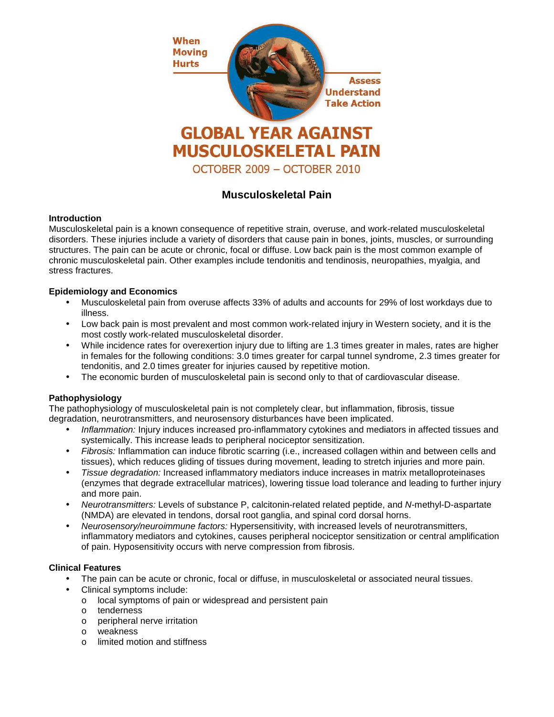

# **Musculoskeletal Pain**

## **Introduction**

Musculoskeletal pain is a known consequence of repetitive strain, overuse, and work-related musculoskeletal disorders. These injuries include a variety of disorders that cause pain in bones, joints, muscles, or surrounding structures. The pain can be acute or chronic, focal or diffuse. Low back pain is the most common example of chronic musculoskeletal pain. Other examples include tendonitis and tendinosis, neuropathies, myalgia, and stress fractures.

## **Epidemiology and Economics**

- Musculoskeletal pain from overuse affects 33% of adults and accounts for 29% of lost workdays due to illness.
- Low back pain is most prevalent and most common work-related injury in Western society, and it is the most costly work-related musculoskeletal disorder.
- While incidence rates for overexertion injury due to lifting are 1.3 times greater in males, rates are higher in females for the following conditions: 3.0 times greater for carpal tunnel syndrome, 2.3 times greater for tendonitis, and 2.0 times greater for injuries caused by repetitive motion.
- The economic burden of musculoskeletal pain is second only to that of cardiovascular disease.

# **Pathophysiology**

The pathophysiology of musculoskeletal pain is not completely clear, but inflammation, fibrosis, tissue degradation, neurotransmitters, and neurosensory disturbances have been implicated.

- Inflammation: Injury induces increased pro-inflammatory cytokines and mediators in affected tissues and systemically. This increase leads to peripheral nociceptor sensitization.
- Fibrosis: Inflammation can induce fibrotic scarring (i.e., increased collagen within and between cells and tissues), which reduces gliding of tissues during movement, leading to stretch injuries and more pain.
- Tissue degradation: Increased inflammatory mediators induce increases in matrix metalloproteinases (enzymes that degrade extracellular matrices), lowering tissue load tolerance and leading to further injury and more pain.
- Neurotransmitters: Levels of substance P, calcitonin-related related peptide, and N-methyl-D-aspartate (NMDA) are elevated in tendons, dorsal root ganglia, and spinal cord dorsal horns.
- Neurosensory/neuroimmune factors: Hypersensitivity, with increased levels of neurotransmitters, inflammatory mediators and cytokines, causes peripheral nociceptor sensitization or central amplification of pain. Hyposensitivity occurs with nerve compression from fibrosis.

#### **Clinical Features**

- The pain can be acute or chronic, focal or diffuse, in musculoskeletal or associated neural tissues.
- Clinical symptoms include:
	- o local symptoms of pain or widespread and persistent pain
	- o tenderness
	- o peripheral nerve irritation
	- o weakness
	- o limited motion and stiffness